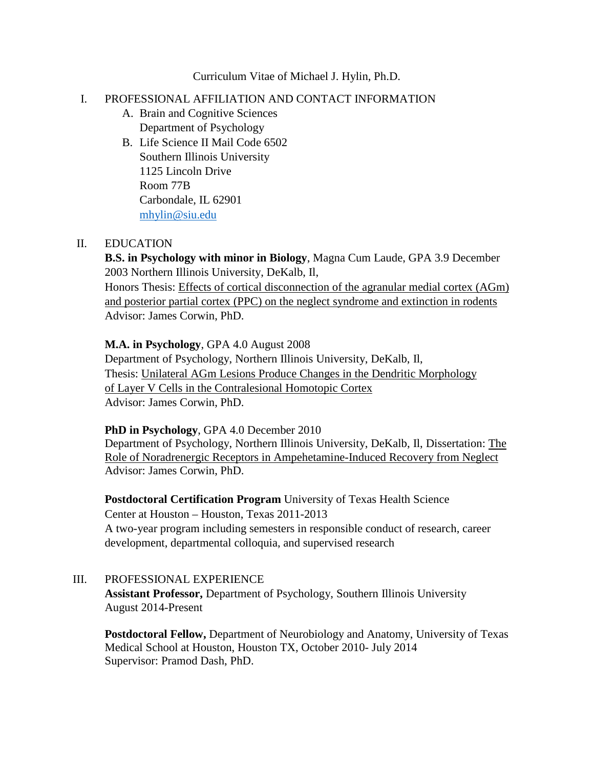#### Curriculum Vitae of Michael J. Hylin, Ph.D.

#### I. PROFESSIONAL AFFILIATION AND CONTACT INFORMATION

- A. Brain and Cognitive Sciences Department of Psychology
- B. Life Science II Mail Code 6502 Southern Illinois University 1125 Lincoln Drive Room 77B Carbondale, IL 62901 [mhylin@siu.edu](mailto:mhylin@siu.edu)

#### II. EDUCATION

**B.S. in Psychology with minor in Biology**, Magna Cum Laude, GPA 3.9 December 2003 Northern Illinois University, DeKalb, Il, Honors Thesis: Effects of cortical disconnection of the agranular medial cortex (AGm) and posterior partial cortex (PPC) on the neglect syndrome and extinction in rodents Advisor: James Corwin, PhD.

#### **M.A. in Psychology**, GPA 4.0 August 2008

Department of Psychology, Northern Illinois University, DeKalb, Il, Thesis: Unilateral AGm Lesions Produce Changes in the Dendritic Morphology of Layer V Cells in the Contralesional Homotopic Cortex Advisor: James Corwin, PhD.

#### **PhD in Psychology**, GPA 4.0 December 2010

Department of Psychology, Northern Illinois University, DeKalb, Il, Dissertation: The Role of Noradrenergic Receptors in Ampehetamine-Induced Recovery from Neglect Advisor: James Corwin, PhD.

**Postdoctoral Certification Program** University of Texas Health Science Center at Houston – Houston, Texas 2011-2013 A two-year program including semesters in responsible conduct of research, career development, departmental colloquia, and supervised research

## III. PROFESSIONAL EXPERIENCE

**Assistant Professor,** Department of Psychology, Southern Illinois University August 2014-Present

**Postdoctoral Fellow,** Department of Neurobiology and Anatomy, University of Texas Medical School at Houston, Houston TX, October 2010- July 2014 Supervisor: Pramod Dash, PhD.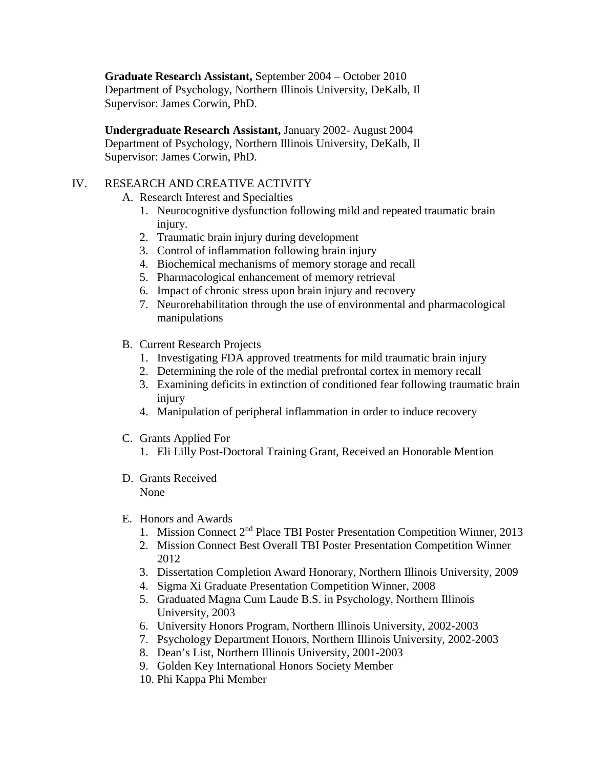**Graduate Research Assistant,** September 2004 – October 2010 Department of Psychology, Northern Illinois University, DeKalb, Il Supervisor: James Corwin, PhD.

**Undergraduate Research Assistant,** January 2002- August 2004 Department of Psychology, Northern Illinois University, DeKalb, Il Supervisor: James Corwin, PhD.

## IV. RESEARCH AND CREATIVE ACTIVITY

- A. Research Interest and Specialties
	- 1. Neurocognitive dysfunction following mild and repeated traumatic brain injury.
	- 2. Traumatic brain injury during development
	- 3. Control of inflammation following brain injury
	- 4. Biochemical mechanisms of memory storage and recall
	- 5. Pharmacological enhancement of memory retrieval
	- 6. Impact of chronic stress upon brain injury and recovery
	- 7. Neurorehabilitation through the use of environmental and pharmacological manipulations
- B. Current Research Projects
	- 1. Investigating FDA approved treatments for mild traumatic brain injury
	- 2. Determining the role of the medial prefrontal cortex in memory recall
	- 3. Examining deficits in extinction of conditioned fear following traumatic brain injury
	- 4. Manipulation of peripheral inflammation in order to induce recovery
- C. Grants Applied For
	- 1. Eli Lilly Post-Doctoral Training Grant, Received an Honorable Mention
- D. Grants Received None
- E. Honors and Awards
	- 1. Mission Connect 2nd Place TBI Poster Presentation Competition Winner, 2013
	- 2. Mission Connect Best Overall TBI Poster Presentation Competition Winner 2012
	- 3. Dissertation Completion Award Honorary, Northern Illinois University, 2009
	- 4. Sigma Xi Graduate Presentation Competition Winner, 2008
	- 5. Graduated Magna Cum Laude B.S. in Psychology, Northern Illinois University, 2003
	- 6. University Honors Program, Northern Illinois University, 2002-2003
	- 7. Psychology Department Honors, Northern Illinois University, 2002-2003
	- 8. Dean's List, Northern Illinois University, 2001-2003
	- 9. Golden Key International Honors Society Member
	- 10. Phi Kappa Phi Member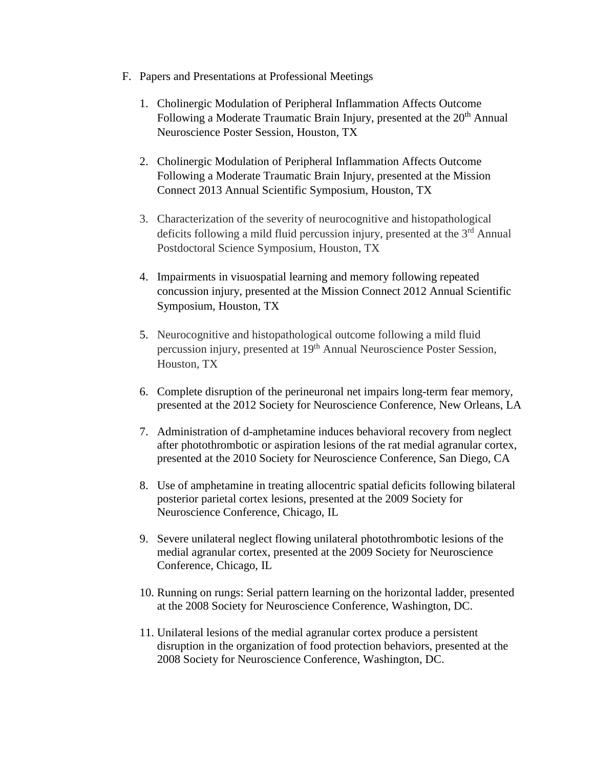- F. Papers and Presentations at Professional Meetings
	- 1. Cholinergic Modulation of Peripheral Inflammation Affects Outcome Following a Moderate Traumatic Brain Injury, presented at the 20<sup>th</sup> Annual Neuroscience Poster Session, Houston, TX
	- 2. Cholinergic Modulation of Peripheral Inflammation Affects Outcome Following a Moderate Traumatic Brain Injury, presented at the Mission Connect 2013 Annual Scientific Symposium, Houston, TX
	- 3. Characterization of the severity of neurocognitive and histopathological deficits following a mild fluid percussion injury, presented at the 3<sup>rd</sup> Annual Postdoctoral Science Symposium, Houston, TX
	- 4. Impairments in visuospatial learning and memory following repeated concussion injury, presented at the Mission Connect 2012 Annual Scientific Symposium, Houston, TX
	- 5. Neurocognitive and histopathological outcome following a mild fluid percussion injury, presented at 19th Annual Neuroscience Poster Session, Houston, TX
	- 6. Complete disruption of the perineuronal net impairs long-term fear memory, presented at the 2012 Society for Neuroscience Conference, New Orleans, LA
	- 7. Administration of d-amphetamine induces behavioral recovery from neglect after photothrombotic or aspiration lesions of the rat medial agranular cortex, presented at the 2010 Society for Neuroscience Conference, San Diego, CA
	- 8. Use of amphetamine in treating allocentric spatial deficits following bilateral posterior parietal cortex lesions, presented at the 2009 Society for Neuroscience Conference, Chicago, IL
	- 9. Severe unilateral neglect flowing unilateral photothrombotic lesions of the medial agranular cortex, presented at the 2009 Society for Neuroscience Conference, Chicago, IL
	- 10. Running on rungs: Serial pattern learning on the horizontal ladder, presented at the 2008 Society for Neuroscience Conference, Washington, DC.
	- 11. Unilateral lesions of the medial agranular cortex produce a persistent disruption in the organization of food protection behaviors, presented at the 2008 Society for Neuroscience Conference, Washington, DC.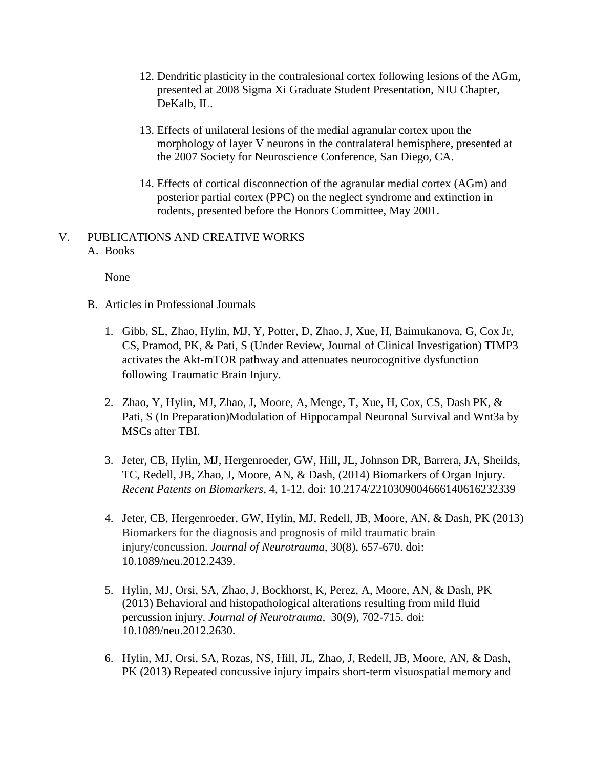- 12. Dendritic plasticity in the contralesional cortex following lesions of the AGm, presented at 2008 Sigma Xi Graduate Student Presentation, NIU Chapter, DeKalb, IL.
- 13. Effects of unilateral lesions of the medial agranular cortex upon the morphology of layer V neurons in the contralateral hemisphere, presented at the 2007 Society for Neuroscience Conference, San Diego, CA.
- 14. Effects of cortical disconnection of the agranular medial cortex (AGm) and posterior partial cortex (PPC) on the neglect syndrome and extinction in rodents, presented before the Honors Committee, May 2001.

## V. PUBLICATIONS AND CREATIVE WORKS A. Books

None

- B. Articles in Professional Journals
	- 1. Gibb, SL, Zhao, Hylin, MJ, Y, Potter, D, Zhao, J, Xue, H, Baimukanova, G, Cox Jr, CS, Pramod, PK, & Pati, S (Under Review, Journal of Clinical Investigation) TIMP3 activates the Akt-mTOR pathway and attenuates neurocognitive dysfunction following Traumatic Brain Injury.
	- 2. Zhao, Y, Hylin, MJ, Zhao, J, Moore, A, Menge, T, Xue, H, Cox, CS, Dash PK, & Pati, S (In Preparation)Modulation of Hippocampal Neuronal Survival and Wnt3a by MSCs after TBI.
	- 3. Jeter, CB, Hylin, MJ, Hergenroeder, GW, Hill, JL, Johnson DR, Barrera, JA, Sheilds, TC, Redell, JB, Zhao, J, Moore, AN, & Dash, (2014) Biomarkers of Organ Injury. *Recent Patents on Biomarkers,* 4, 1-12. doi: 10.2174/2210309004666140616232339
	- 4. Jeter, CB, Hergenroeder, GW, Hylin, MJ, Redell, JB, Moore, AN, & Dash, PK (2013) Biomarkers for the diagnosis and prognosis of mild traumatic brain injury/concussion. *Journal of Neurotrauma,* 30(8), 657-670. doi: 10.1089/neu.2012.2439.
	- 5. Hylin, MJ, Orsi, SA, Zhao, J, Bockhorst, K, Perez, A, Moore, AN, & Dash, PK (2013) Behavioral and histopathological alterations resulting from mild fluid percussion injury. *Journal of Neurotrauma,* 30(9), 702-715. doi: 10.1089/neu.2012.2630.
	- 6. Hylin, MJ, Orsi, SA, Rozas, NS, Hill, JL, Zhao, J, Redell, JB, Moore, AN, & Dash, PK (2013) Repeated concussive injury impairs short-term visuospatial memory and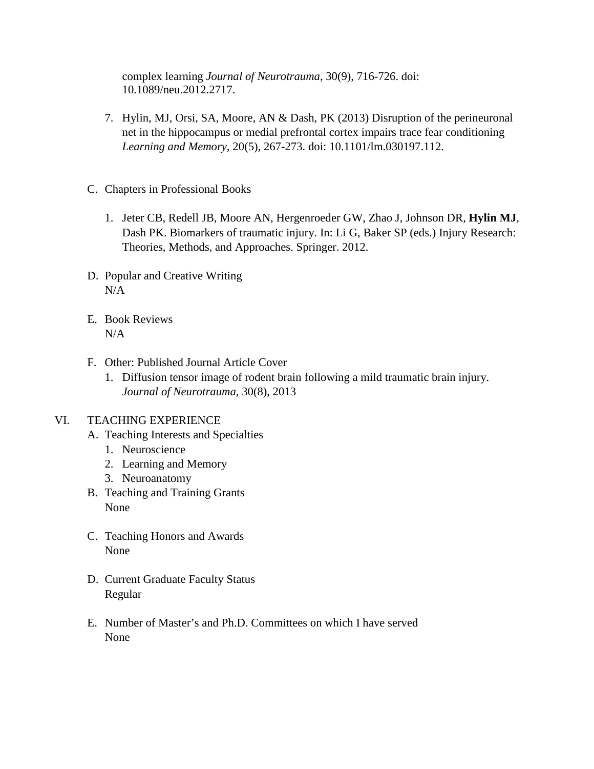complex learning *Journal of Neurotrauma,* 30(9), 716-726. doi: 10.1089/neu.2012.2717.

- 7. Hylin, MJ, Orsi, SA, Moore, AN & Dash, PK (2013) Disruption of the perineuronal net in the hippocampus or medial prefrontal cortex impairs trace fear conditioning *Learning and Memory,* 20(5), 267-273. doi: 10.1101/lm.030197.112.
- C. Chapters in Professional Books
	- 1. Jeter CB, Redell JB, Moore AN, Hergenroeder GW, Zhao J, Johnson DR, **Hylin MJ**, Dash PK. Biomarkers of traumatic injury. In: Li G, Baker SP (eds.) Injury Research: Theories, Methods, and Approaches. Springer. 2012.
- D. Popular and Creative Writing  $N/A$
- E. Book Reviews N/A
- F. Other: Published Journal Article Cover
	- 1. Diffusion tensor image of rodent brain following a mild traumatic brain injury. *Journal of Neurotrauma,* 30(8), 2013

## VI. TEACHING EXPERIENCE

- A. Teaching Interests and Specialties
	- 1. Neuroscience
	- 2. Learning and Memory
	- 3. Neuroanatomy
- B. Teaching and Training Grants None
- C. Teaching Honors and Awards None
- D. Current Graduate Faculty Status Regular
- E. Number of Master's and Ph.D. Committees on which I have served None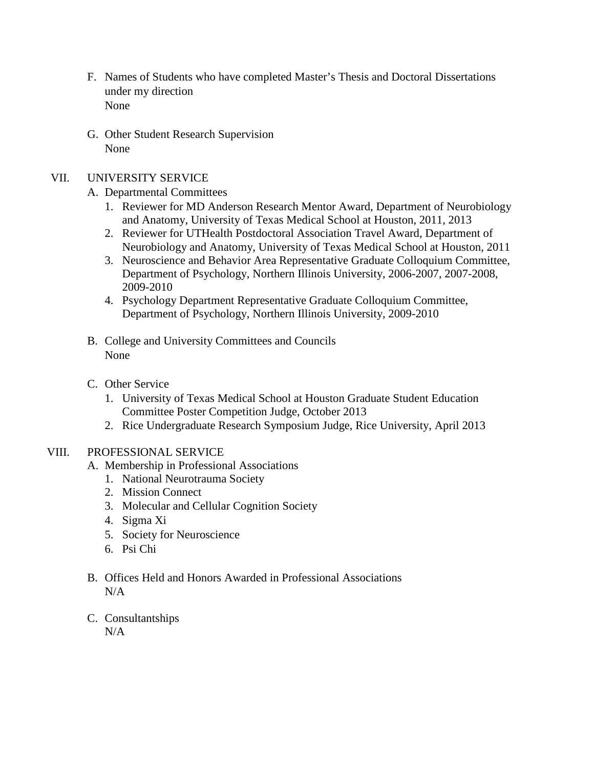- F. Names of Students who have completed Master's Thesis and Doctoral Dissertations under my direction None
- G. Other Student Research Supervision None

# VII. UNIVERSITY SERVICE

- A. Departmental Committees
	- 1. Reviewer for MD Anderson Research Mentor Award, Department of Neurobiology and Anatomy, University of Texas Medical School at Houston, 2011, 2013
	- 2. Reviewer for UTHealth Postdoctoral Association Travel Award, Department of Neurobiology and Anatomy, University of Texas Medical School at Houston, 2011
	- 3. Neuroscience and Behavior Area Representative Graduate Colloquium Committee, Department of Psychology, Northern Illinois University, 2006-2007, 2007-2008, 2009-2010
	- 4. Psychology Department Representative Graduate Colloquium Committee, Department of Psychology, Northern Illinois University, 2009-2010
- B. College and University Committees and Councils None
- C. Other Service
	- 1. University of Texas Medical School at Houston Graduate Student Education Committee Poster Competition Judge, October 2013
	- 2. Rice Undergraduate Research Symposium Judge, Rice University, April 2013

# VIII. PROFESSIONAL SERVICE

- A. Membership in Professional Associations
	- 1. National Neurotrauma Society
	- 2. Mission Connect
	- 3. Molecular and Cellular Cognition Society
	- 4. Sigma Xi
	- 5. Society for Neuroscience
	- 6. Psi Chi
- B. Offices Held and Honors Awarded in Professional Associations N/A
- C. Consultantships

 $N/A$